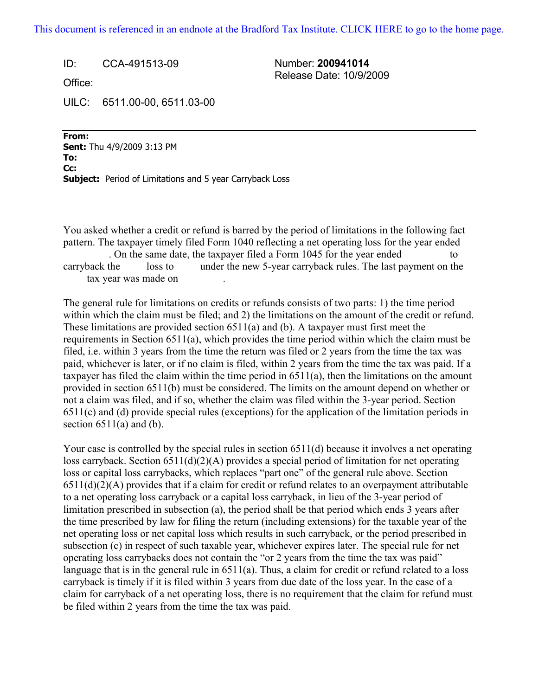## [This document is referenced in an endnote at the Bradford Tax Institute. CLICK HERE to go to the home page.](www.bradfordtaxinstitute.com)

ID: CCA-491513-09 Number: **200941014** Release Date: 10/9/2009

Office:

UILC: 6511.00-00, 6511.03-00

**From: Sent:** Thu 4/9/2009 3:13 PM To: **Cc:** -------------------------------------------------------------------------------------------- **Subject:** Period of Limitations and 5 year Carryback Loss

You asked whether a credit or refund is barred by the period of limitations in the following fact pattern. The taxpayer timely filed Form 1040 reflecting a net operating loss for the year ended . On the same date, the taxpayer filed a Form 1045 for the year ended to carryback the ------ loss to ------ under the new 5-year carryback rules. The last payment on the - tax year was made on

The general rule for limitations on credits or refunds consists of two parts: 1) the time period within which the claim must be filed; and 2) the limitations on the amount of the credit or refund. These limitations are provided section 6511(a) and (b). A taxpayer must first meet the requirements in Section 6511(a), which provides the time period within which the claim must be filed, i.e. within 3 years from the time the return was filed or 2 years from the time the tax was paid, whichever is later, or if no claim is filed, within 2 years from the time the tax was paid. If a taxpayer has filed the claim within the time period in 6511(a), then the limitations on the amount provided in section 6511(b) must be considered. The limits on the amount depend on whether or not a claim was filed, and if so, whether the claim was filed within the 3-year period. Section 6511(c) and (d) provide special rules (exceptions) for the application of the limitation periods in section  $6511(a)$  and (b).

Your case is controlled by the special rules in section 6511(d) because it involves a net operating loss carryback. Section 6511(d)(2)(A) provides a special period of limitation for net operating loss or capital loss carrybacks, which replaces "part one" of the general rule above. Section  $6511(d)(2)(A)$  provides that if a claim for credit or refund relates to an overpayment attributable to a net operating loss carryback or a capital loss carryback, in lieu of the 3-year period of limitation prescribed in subsection (a), the period shall be that period which ends 3 years after the time prescribed by law for filing the return (including extensions) for the taxable year of the net operating loss or net capital loss which results in such carryback, or the period prescribed in subsection (c) in respect of such taxable year, whichever expires later. The special rule for net operating loss carrybacks does not contain the "or 2 years from the time the tax was paid" language that is in the general rule in 6511(a). Thus, a claim for credit or refund related to a loss carryback is timely if it is filed within 3 years from due date of the loss year. In the case of a claim for carryback of a net operating loss, there is no requirement that the claim for refund must be filed within 2 years from the time the tax was paid.